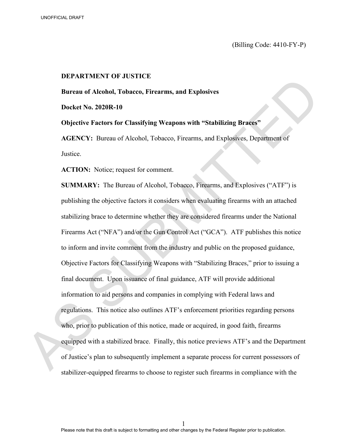(Billing Code: 4410-FY-P)

#### **DEPARTMENT OF JUSTICE**

**Bureau of Alcohol, Tobacco, Firearms, and Explosives** 

**Docket No. 2020R-10** 

**Objective Factors for Classifying Weapons with "Stabilizing Braces"**

**AGENCY:** Bureau of Alcohol, Tobacco, Firearms, and Explosives, Department of Justice.

ACTION: Notice; request for comment.

**SUMMARY:** The Bureau of Alcohol, Tobacco, Firearms, and Explosives ("ATF") is publishing the objective factors it considers when evaluating firearms with an attached stabilizing brace to determine whether they are considered firearms under the National Firearms Act ("NFA") and/or the Gun Control Act ("GCA"). ATF publishes this notice to inform and invite comment from the industry and public on the proposed guidance, Objective Factors for Classifying Weapons with "Stabilizing Braces," prior to issuing a final document. Upon issuance of final guidance, ATF will provide additional information to aid persons and companies in complying with Federal laws and regulations. This notice also outlines ATF's enforcement priorities regarding persons who, prior to publication of this notice, made or acquired, in good faith, firearms equipped with a stabilized brace. Finally, this notice previews ATF's and the Department of Justice's plan to subsequently implement a separate process for current possessors of Bureau of Aleohol, Tobacco, Firearms, and Explosives<br>
Bureau of Aleohol, Tobacco, Firearms, and Explosives<br>
Docket No. 2020R-10<br>
Objective Factors for Classifying Weapons with "Stabilizing Braces"<br>
AGENCY: Bureau of Aleoho stabilizer-equipped firearms to choose to register such firearms in compliance with the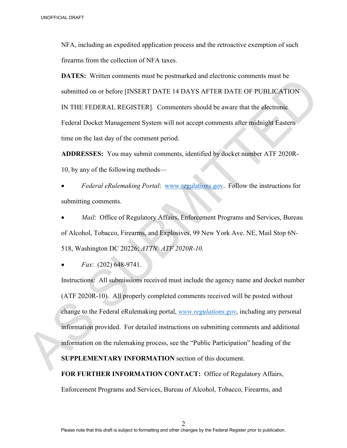NFA, including an expedited application process and the retroactive exemption of such firearms from the collection of NFA taxes.

**DATES:** Written comments must be postmarked and electronic comments must be submitted on or before [INSERT DATE 14 DAYS AFTER DATE OF PUBLICATION IN THE FEDERAL REGISTER]. Commenters should be aware that the electronic Federal Docket Management System will not accept comments after midnight Eastern time on the last day of the comment period.

**ADDRESSES:** You may submit comments, identified by docket number ATF 2020R-10, by any of the following methods—

• *Federal eRulemaking Portal*: www.regulations.gov. Follow the instructions for submitting comments.

*Mail*: Office of Regulatory Affairs, Enforcement Programs and Services, Bureau of Alcohol, Tobacco, Firearms, and Explosives, 99 New York Ave. NE, Mail Stop 6N-518, Washington DC 20226; *ATTN: ATF 2020R-10*.

• *Fax*: (202) 648-9741.

Instructions: All submissions received must include the agency name and docket number (ATF 2020R-10). All properly completed comments received will be posted without change to the Federal eRulemaking portal, *www.regulations.gov*, including any personal information provided. For detailed instructions on submitting comments and additional information on the rulemaking process, see the "Public Participation" heading of the 3 MorricoAt Brown<br>
NIA, including an expedited application process and the retroactive exemption of such<br>
firest<br>
first first first in the collection of NFA taxes.<br> **DATES:** Written comments must be postmarked and electr

**SUPPLEMENTARY INFORMATION** section of this document.

**FOR FURTHER INFORMATION CONTACT:** Office of Regulatory Affairs, Enforcement Programs and Services, Bureau of Alcohol, Tobacco, Firearms, and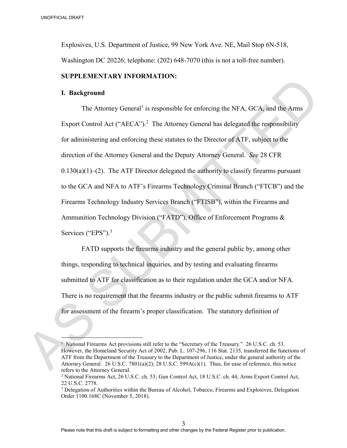Explosives, U.S. Department of Justice, 99 New York Ave. NE, Mail Stop 6N-518, Washington DC 20226; telephone: (202) 648-7070 (this is not a toll-free number).

# **SUPPLEMENTARY INFORMATION:**

#### **I. Background**

The Attorney General<sup>1</sup> is responsible for enforcing the NFA, GCA, and the Arms Export Control Act (" $AECA$ ").<sup>2</sup> The Attorney General has delegated the responsibility for administering and enforcing these statutes to the Director of ATF, subject to the direction of the Attorney General and the Deputy Attorney General. *See* 28 CFR  $0.130(a)(1)$ –(2). The ATF Director delegated the authority to classify firearms pursuant to the GCA and NFA to ATF's Firearms Technology Criminal Branch ("FTCB") and the Firearms Technology Industry Services Branch ("FTISB"), within the Firearms and Ammunition Technology Division ("FATD"), Office of Enforcement Programs & Services ("EPS").<sup>3</sup> 30071004 BIWT<br>
Explosives. U.S. Department of Justice. 99 New York Ave. NL, Mail Stop 6N-518.<br>
Washington DC 20226; telephone: (202) 648-7070 (this is not a toll-free number).<br>
SUPPLEMENTARY INFORMATION:<br>
I. Background<br>

FATD supports the firearms industry and the general public by, among other things, responding to technical inquiries, and by testing and evaluating firearms submitted to ATF for classification as to their regulation under the GCA and/or NFA. There is no requirement that the firearms industry or the public submit firearms to ATF for assessment of the firearm's proper classification. The statutory definition of

<sup>&</sup>lt;sup>1</sup> National Firearms Act provisions still refer to the "Secretary of the Treasury." 26 U.S.C. ch. 53. However, the Homeland Security Act of 2002, Pub. L. 107-296, 116 Stat. 2135, transferred the functions of ATF from the Department of the Treasury to the Department of Justice, under the general authority of the Attorney General. 26 U.S.C. 7801(a)(2); 28 U.S.C. 599A(c)(1). Thus, for ease of reference, this notice refers to the Attorney General.

<sup>2</sup> National Firearms Act, 26 U.S.C. ch. 53; Gun Control Act, 18 U.S.C. ch. 44; Arms Export Control Act, 22 U.S.C. 2778.

<sup>3</sup> Delegation of Authorities within the Bureau of Alcohol, Tobacco, Firearms and Explosives, Delegation Order 1100.168C (November 5, 2018).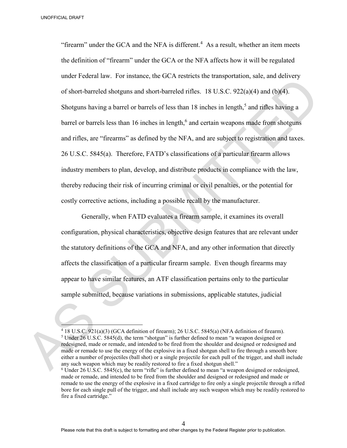"firearm" under the GCA and the NFA is different.<sup>4</sup> As a result, whether an item meets the definition of "firearm" under the GCA or the NFA affects how it will be regulated under Federal law. For instance, the GCA restricts the transportation, sale, and delivery of short-barreled shotguns and short-barreled rifles. 18 U.S.C. 922(a)(4) and (b)(4). Shotguns having a barrel or barrels of less than  $18$  inches in length,<sup>5</sup> and rifles having a barrel or barrels less than 16 inches in length,<sup>6</sup> and certain weapons made from shotguns and rifles, are "firearms" as defined by the NFA, and are subject to registration and taxes. 26 U.S.C. 5845(a). Therefore, FATD's classifications of a particular firearm allows industry members to plan, develop, and distribute products in compliance with the law, thereby reducing their risk of incurring criminal or civil penalties, or the potential for costly corrective actions, including a possible recall by the manufacturer. 3467 FIGAL TRAFT Transfer that GCA and the NTA is different.<sup>4</sup> As a result, whether an item meets<br>the definition of "finearm" under the GCA or the NTA affects how it will be regulated<br>under Federal law. For instance, th

Generally, when FATD evaluates a firearm sample, it examines its overall configuration, physical characteristics, objective design features that are relevant under the statutory definitions of the GCA and NFA, and any other information that directly affects the classification of a particular firearm sample. Even though firearms may appear to have similar features, an ATF classification pertains only to the particular sample submitted, because variations in submissions, applicable statutes, judicial

<sup>4</sup> 18 U.S.C. 921(a)(3) (GCA definition of firearm); 26 U.S.C. 5845(a) (NFA definition of firearm). <sup>5</sup> Under 26 U.S.C. 5845(d), the term "shotgun" is further defined to mean "a weapon designed or redesigned, made or remade, and intended to be fired from the shoulder and designed or redesigned and made or remade to use the energy of the explosive in a fixed shotgun shell to fire through a smooth bore either a number of projectiles (ball shot) or a single projectile for each pull of the trigger, and shall include any such weapon which may be readily restored to fire a fixed shotgun shell."

 $6$  Under 26 U.S.C. 5845(c), the term "rifle" is further defined to mean "a weapon designed or redesigned, made or remade, and intended to be fired from the shoulder and designed or redesigned and made or remade to use the energy of the explosive in a fixed cartridge to fire only a single projectile through a rifled bore for each single pull of the trigger, and shall include any such weapon which may be readily restored to fire a fixed cartridge."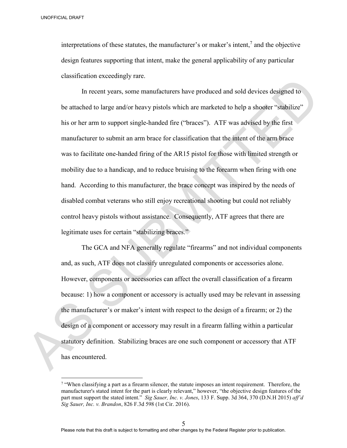$\overline{a}$ 

interpretations of these statutes, the manufacturer's or maker's intent,<sup>7</sup> and the objective design features supporting that intent, make the general applicability of any particular classification exceedingly rare.

In recent years, some manufacturers have produced and sold devices designed to be attached to large and/or heavy pistols which are marketed to help a shooter "stabilize" his or her arm to support single-handed fire ("braces"). ATF was advised by the first manufacturer to submit an arm brace for classification that the intent of the arm brace was to facilitate one-handed firing of the AR15 pistol for those with limited strength or mobility due to a handicap, and to reduce bruising to the forearm when firing with one hand. According to this manufacturer, the brace concept was inspired by the needs of disabled combat veterans who still enjoy recreational shooting but could not reliably control heavy pistols without assistance. Consequently, ATF agrees that there are legitimate uses for certain "stabilizing braces." 3 over the strainers of these statutes, the manufacturer's or maker's intent,<sup>1</sup> and the objective<br>
design features supporting that intent, make the general applicability of any particular<br>
classification exceedingly rar

The GCA and NFA generally regulate "firearms" and not individual components and, as such, ATF does not classify unregulated components or accessories alone. However, components or accessories can affect the overall classification of a firearm because: 1) how a component or accessory is actually used may be relevant in assessing the manufacturer's or maker's intent with respect to the design of a firearm; or 2) the design of a component or accessory may result in a firearm falling within a particular statutory definition. Stabilizing braces are one such component or accessory that ATF has encountered.

<sup>&</sup>lt;sup>7</sup> "When classifying a part as a firearm silencer, the statute imposes an intent requirement. Therefore, the manufacturer's stated intent for the part is clearly relevant," however, "the objective design features of the part must support the stated intent." *Sig Sauer, Inc. v. Jones*, 133 F. Supp. 3d 364, 370 (D.N.H 2015) *aff'd Sig Sauer, Inc. v. Brandon*, 826 F.3d 598 (1st Cir. 2016).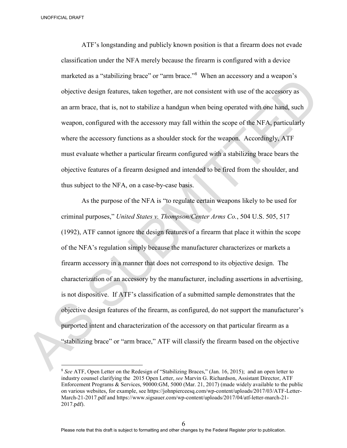$\overline{a}$ 

ATF's longstanding and publicly known position is that a firearm does not evade classification under the NFA merely because the firearm is configured with a device marketed as a "stabilizing brace" or "arm brace."<sup>8</sup> When an accessory and a weapon's objective design features, taken together, are not consistent with use of the accessory as an arm brace, that is, not to stabilize a handgun when being operated with one hand, such weapon, configured with the accessory may fall within the scope of the NFA, particularly where the accessory functions as a shoulder stock for the weapon. Accordingly, ATF must evaluate whether a particular firearm configured with a stabilizing brace bears the objective features of a firearm designed and intended to be fired from the shoulder, and thus subject to the NFA, on a case-by-case basis. ACTIVE Slongstanding and publicly known position is that a firerarm does not evadently classification under the NFA merely because the firerarm is configured with a device marketed as a "stabilizing brace" or "arm brace.

As the purpose of the NFA is "to regulate certain weapons likely to be used for criminal purposes," *United States v. Thompson/Center Arms Co.*, 504 U.S. 505, 517 (1992), ATF cannot ignore the design features of a firearm that place it within the scope of the NFA's regulation simply because the manufacturer characterizes or markets a firearm accessory in a manner that does not correspond to its objective design. The characterization of an accessory by the manufacturer, including assertions in advertising, is not dispositive. If ATF's classification of a submitted sample demonstrates that the objective design features of the firearm, as configured, do not support the manufacturer's purported intent and characterization of the accessory on that particular firearm as a "stabilizing brace" or "arm brace," ATF will classify the firearm based on the objective

<sup>8</sup> *See* ATF, Open Letter on the Redesign of "Stabilizing Braces," (Jan. 16, 2015); and an open letter to industry counsel clarifying the 2015 Open Letter, *see* Marvin G. Richardson, Assistant Director, ATF Enforcement Programs & Services, 90000:GM, 5000 (Mar. 21, 2017) (made widely available to the public on various websites, for example, see https://johnpierceesq.com/wp-content/uploads/2017/03/ATF-Letter-March-21-2017.pdf and https://www.sigsauer.com/wp-content/uploads/2017/04/atf-letter-march-21- 2017.pdf).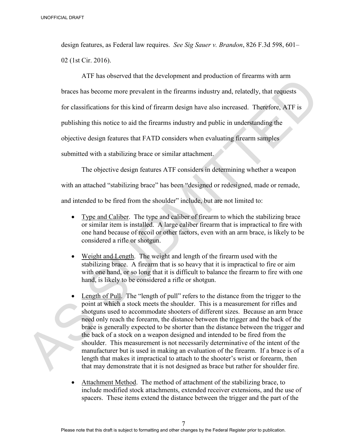design features, as Federal law requires. *See Sig Sauer v. Brandon*, 826 F.3d 598, 601– 02 (1st Cir. 2016).

ATF has observed that the development and production of firearms with arm braces has become more prevalent in the firearms industry and, relatedly, that requests for classifications for this kind of firearm design have also increased. Therefore, ATF is publishing this notice to aid the firearms industry and public in understanding the objective design features that FATD considers when evaluating firearm samples submitted with a stabilizing brace or similar attachment. UNISTIDATION IF the beat of the state of the state of the state of the state of the state of the state of the state of the state of the state of the state of the state of the state of the state of the state of the state o

The objective design features ATF considers in determining whether a weapon with an attached "stabilizing brace" has been "designed or redesigned, made or remade,

and intended to be fired from the shoulder" include, but are not limited to:

- Type and Caliber. The type and caliber of firearm to which the stabilizing brace or similar item is installed. A large caliber firearm that is impractical to fire with one hand because of recoil or other factors, even with an arm brace, is likely to be considered a rifle or shotgun.
- Weight and Length. The weight and length of the firearm used with the stabilizing brace. A firearm that is so heavy that it is impractical to fire or aim with one hand, or so long that it is difficult to balance the firearm to fire with one hand, is likely to be considered a rifle or shotgun.
- Length of Pull. The "length of pull" refers to the distance from the trigger to the point at which a stock meets the shoulder. This is a measurement for rifles and shotguns used to accommodate shooters of different sizes. Because an arm brace need only reach the forearm, the distance between the trigger and the back of the brace is generally expected to be shorter than the distance between the trigger and the back of a stock on a weapon designed and intended to be fired from the shoulder. This measurement is not necessarily determinative of the intent of the manufacturer but is used in making an evaluation of the firearm. If a brace is of a length that makes it impractical to attach to the shooter's wrist or forearm, then that may demonstrate that it is not designed as brace but rather for shoulder fire.
- Attachment Method. The method of attachment of the stabilizing brace, to include modified stock attachments, extended receiver extensions, and the use of spacers. These items extend the distance between the trigger and the part of the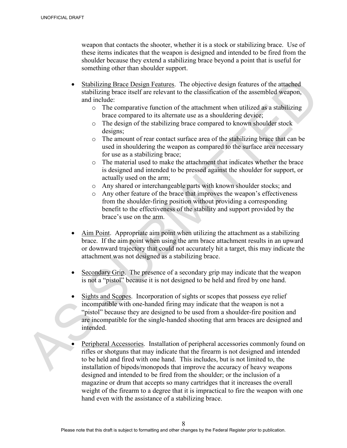weapon that contacts the shooter, whether it is a stock or stabilizing brace. Use of these items indicates that the weapon is designed and intended to be fired from the shoulder because they extend a stabilizing brace beyond a point that is useful for something other than shoulder support.

- Stabilizing Brace Design Features. The objective design features of the attached stabilizing brace itself are relevant to the classification of the assembled weapon, and include:
	- o The comparative function of the attachment when utilized as a stabilizing brace compared to its alternate use as a shouldering device;
	- o The design of the stabilizing brace compared to known shoulder stock designs;
	- o The amount of rear contact surface area of the stabilizing brace that can be used in shouldering the weapon as compared to the surface area necessary for use as a stabilizing brace;
	- o The material used to make the attachment that indicates whether the brace is designed and intended to be pressed against the shoulder for support, or actually used on the arm;
	- o Any shared or interchangeable parts with known shoulder stocks; and
	- o Any other feature of the brace that improves the weapon's effectiveness from the shoulder-firing position without providing a corresponding benefit to the effectiveness of the stability and support provided by the brace's use on the arm.
- Aim Point. Appropriate aim point when utilizing the attachment as a stabilizing brace. If the aim point when using the arm brace attachment results in an upward or downward trajectory that could not accurately hit a target, this may indicate the attachment was not designed as a stabilizing brace.
- Secondary Grip. The presence of a secondary grip may indicate that the weapon is not a "pistol" because it is not designed to be held and fired by one hand.
- Sights and Scopes. Incorporation of sights or scopes that possess eye relief incompatible with one-handed firing may indicate that the weapon is not a "pistol" because they are designed to be used from a shoulder-fire position and are incompatible for the single-handed shooting that arm braces are designed and intended. UNISTIGATION we observe that contacts the shooter, whether it is a stock or stabilizing brace. Use of<br>the three identicals and the weapon is designed and thread from the river from the<br>shoulder because they setted as subi
	- Peripheral Accessories. Installation of peripheral accessories commonly found on rifles or shotguns that may indicate that the firearm is not designed and intended to be held and fired with one hand. This includes, but is not limited to, the installation of bipods/monopods that improve the accuracy of heavy weapons designed and intended to be fired from the shoulder; or the inclusion of a magazine or drum that accepts so many cartridges that it increases the overall weight of the firearm to a degree that it is impractical to fire the weapon with one hand even with the assistance of a stabilizing brace.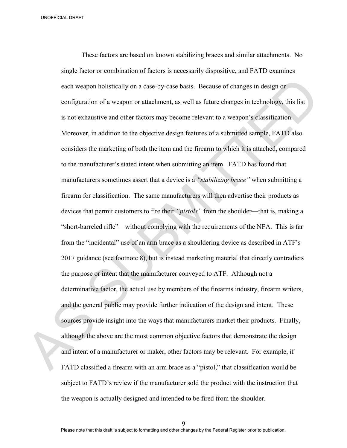These factors are based on known stabilizing braces and similar attachments. No single factor or combination of factors is necessarily dispositive, and FATD examines each weapon holistically on a case-by-case basis. Because of changes in design or configuration of a weapon or attachment, as well as future changes in technology, this list is not exhaustive and other factors may become relevant to a weapon's classification. Moreover, in addition to the objective design features of a submitted sample, FATD also considers the marketing of both the item and the firearm to which it is attached, compared to the manufacturer's stated intent when submitting an item. FATD has found that manufacturers sometimes assert that a device is a *"stabilizing brace"* when submitting a firearm for classification. The same manufacturers will then advertise their products as devices that permit customers to fire their *"pistols"* from the shoulder—that is, making a "short-barreled rifle"—without complying with the requirements of the NFA. This is far from the "incidental" use of an arm brace as a shouldering device as described in ATF's 2017 guidance (see footnote 8), but is instead marketing material that directly contradicts the purpose or intent that the manufacturer conveyed to ATF. Although not a determinative factor, the actual use by members of the firearms industry, firearm writers, and the general public may provide further indication of the design and intent. These sources provide insight into the ways that manufacturers market their products. Finally, although the above are the most common objective factors that demonstrate the design and intent of a manufacturer or maker, other factors may be relevant. For example, if FATD classified a firearm with an arm brace as a "pistol," that classification would be subject to FATD's review if the manufacturer sold the product with the instruction that the weapon is actually designed and intended to be fired from the shoulder. UNISTIDATION IF These factors are based on known stabilizing braces and similar attachments. No<br>single factor or combination of factors is necessarily dispositive, and FATD examines<br>cash weight holivatedly on a case-by-ca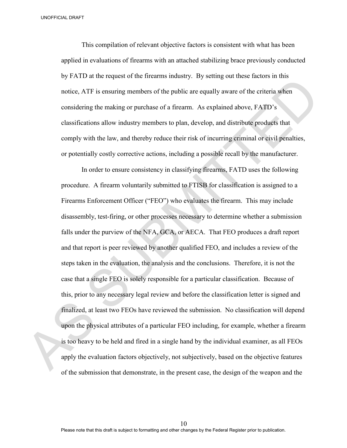UNOFFICIAL DRAFT

This compilation of relevant objective factors is consistent with what has been applied in evaluations of firearms with an attached stabilizing brace previously conducted by FATD at the request of the firearms industry. By setting out these factors in this notice, ATF is ensuring members of the public are equally aware of the criteria when considering the making or purchase of a firearm. As explained above, FATD's classifications allow industry members to plan, develop, and distribute products that comply with the law, and thereby reduce their risk of incurring criminal or civil penalties, or potentially costly corrective actions, including a possible recall by the manufacturer.

In order to ensure consistency in classifying firearms, FATD uses the following procedure. A firearm voluntarily submitted to FTISB for classification is assigned to a Firearms Enforcement Officer ("FEO") who evaluates the firearm. This may include disassembly, test-firing, or other processes necessary to determine whether a submission falls under the purview of the NFA, GCA, or AECA. That FEO produces a draft report and that report is peer reviewed by another qualified FEO, and includes a review of the steps taken in the evaluation, the analysis and the conclusions. Therefore, it is not the case that a single FEO is solely responsible for a particular classification. Because of this, prior to any necessary legal review and before the classification letter is signed and finalized, at least two FEOs have reviewed the submission. No classification will depend upon the physical attributes of a particular FEO including, for example, whether a firearm is too heavy to be held and fired in a single hand by the individual examiner, as all FEOs apply the evaluation factors objectively, not subjectively, based on the objective features by TATD at the Fequence the Intention industry. By samilg out these factors in this motive, ATT is ensuring members of the public are equally aware of the criteria where<br>considering the making or purchase of a firearm. As of the submission that demonstrate, in the present case, the design of the weapon and the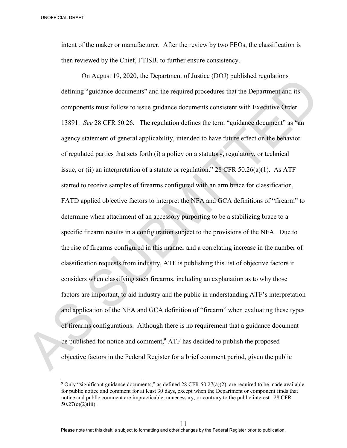$\overline{a}$ 

intent of the maker or manufacturer. After the review by two FEOs, the classification is then reviewed by the Chief, FTISB, to further ensure consistency.

On August 19, 2020, the Department of Justice (DOJ) published regulations defining "guidance documents" and the required procedures that the Department and its components must follow to issue guidance documents consistent with Executive Order 13891. *See* 28 CFR 50.26. The regulation defines the term "guidance document" as "an agency statement of general applicability, intended to have future effect on the behavior of regulated parties that sets forth (i) a policy on a statutory, regulatory, or technical issue, or (ii) an interpretation of a statute or regulation."  $28$  CFR 50.26(a)(1). As ATF started to receive samples of firearms configured with an arm brace for classification, FATD applied objective factors to interpret the NFA and GCA definitions of "firearm" to determine when attachment of an accessory purporting to be a stabilizing brace to a specific firearm results in a configuration subject to the provisions of the NFA. Due to the rise of firearms configured in this manner and a correlating increase in the number of classification requests from industry, ATF is publishing this list of objective factors it considers when classifying such firearms, including an explanation as to why those factors are important, to aid industry and the public in understanding ATF's interpretation and application of the NFA and GCA definition of "firearm" when evaluating these types of firearms configurations. Although there is no requirement that a guidance document be published for notice and comment,<sup>9</sup> ATF has decided to publish the proposed objective factors in the Federal Register for a brief comment period, given the public 3 over the maker or manufacturer. After the review by two IEOs, the classification is<br>then reviewed by the Chief, FTISB, to forther ensure consistency.<br>
On August 19, 2020, the Department of Justice (DOJ) published regul

<sup>&</sup>lt;sup>9</sup> Only "significant guidance documents," as defined 28 CFR 50.27(a)(2), are required to be made available for public notice and comment for at least 30 days, except when the Department or component finds that notice and public comment are impracticable, unnecessary, or contrary to the public interest. 28 CFR 50.27(c)(2)(iii).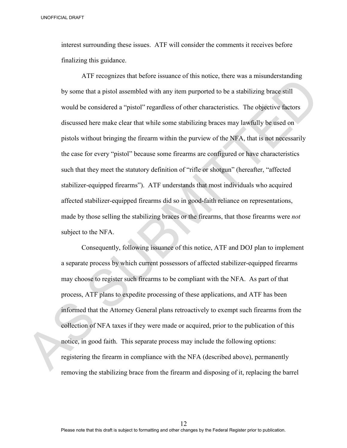UNOFFICIAL DRAFT

interest surrounding these issues. ATF will consider the comments it receives before finalizing this guidance.

ATF recognizes that before issuance of this notice, there was a misunderstanding by some that a pistol assembled with any item purported to be a stabilizing brace still would be considered a "pistol" regardless of other characteristics. The objective factors discussed here make clear that while some stabilizing braces may lawfully be used on pistols without bringing the firearm within the purview of the NFA, that is not necessarily the case for every "pistol" because some firearms are configured or have characteristics such that they meet the statutory definition of "rifle or shotgun" (hereafter, "affected stabilizer-equipped firearms"). ATF understands that most individuals who acquired affected stabilizer-equipped firearms did so in good-faith reliance on representations, made by those selling the stabilizing braces or the firearms, that those firearms were *not* subject to the NFA. The consensation of the my interpretation. This selectively the selectively the particles in the SHZ AT product the NFA and the SHZ AT production of the NFA and the Columbus sum that a priori in the considered a "pistol" r

Consequently, following issuance of this notice, ATF and DOJ plan to implement a separate process by which current possessors of affected stabilizer-equipped firearms may choose to register such firearms to be compliant with the NFA. As part of that process, ATF plans to expedite processing of these applications, and ATF has been informed that the Attorney General plans retroactively to exempt such firearms from the collection of NFA taxes if they were made or acquired, prior to the publication of this notice, in good faith. This separate process may include the following options: registering the firearm in compliance with the NFA (described above), permanently removing the stabilizing brace from the firearm and disposing of it, replacing the barrel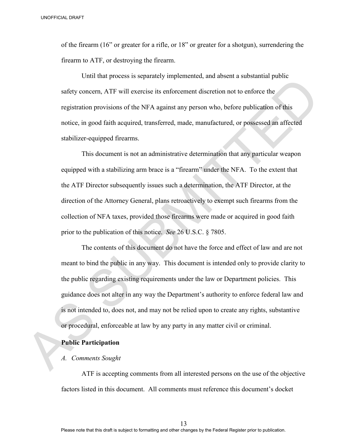of the firearm (16" or greater for a rifle, or 18" or greater for a shotgun), surrendering the firearm to ATF, or destroying the firearm.

Until that process is separately implemented, and absent a substantial public safety concern, ATF will exercise its enforcement discretion not to enforce the registration provisions of the NFA against any person who, before publication of this notice, in good faith acquired, transferred, made, manufactured, or possessed an affected stabilizer-equipped firearms.

This document is not an administrative determination that any particular weapon equipped with a stabilizing arm brace is a "firearm" under the NFA. To the extent that the ATF Director subsequently issues such a determination, the ATF Director, at the direction of the Attorney General, plans retroactively to exempt such firearms from the collection of NFA taxes, provided those firearms were made or acquired in good faith prior to the publication of this notice. *See* 26 U.S.C. § 7805.

The contents of this document do not have the force and effect of law and are not meant to bind the public in any way. This document is intended only to provide clarity to the public regarding existing requirements under the law or Department policies. This guidance does not alter in any way the Department's authority to enforce federal law and is not intended to, does not, and may not be relied upon to create any rights, substantive or procedural, enforceable at law by any party in any matter civil or criminal. 3 over the firemat (16" or greater for a rifle, or 18" or greater for a shotgun), surrendering the firem to ATF, or destroying the firem<br>firem to ATF, or destroying the firem.<br>Until that process is separately implemented

## **Public Participation**

### *A. Comments Sought*

ATF is accepting comments from all interested persons on the use of the objective factors listed in this document. All comments must reference this document's docket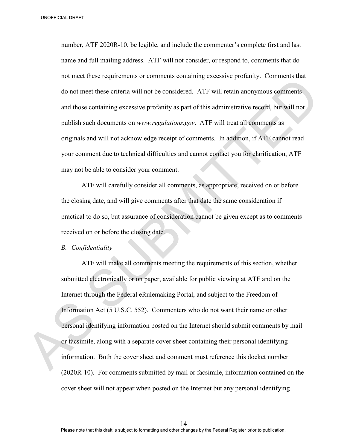number, ATF 2020R-10, be legible, and include the commenter's complete first and last name and full mailing address. ATF will not consider, or respond to, comments that do not meet these requirements or comments containing excessive profanity. Comments that do not meet these criteria will not be considered. ATF will retain anonymous comments and those containing excessive profanity as part of this administrative record, but will not publish such documents on *www.regulations.gov*. ATF will treat all comments as originals and will not acknowledge receipt of comments. In addition, if ATF cannot read your comment due to technical difficulties and cannot contact you for clarification, ATF may not be able to consider your comment. 3 DANTIFICAL BRACT TRAFT 2020R-10, be legible, and include the commenter's complete first and last<br>
manner and foll mailing address. ATF will not consider, or respond to, comments that do<br>
not meet these requirements or

ATF will carefully consider all comments, as appropriate, received on or before the closing date, and will give comments after that date the same consideration if practical to do so, but assurance of consideration cannot be given except as to comments received on or before the closing date.

*B. Confidentiality*

ATF will make all comments meeting the requirements of this section, whether submitted electronically or on paper, available for public viewing at ATF and on the Internet through the Federal eRulemaking Portal, and subject to the Freedom of Information Act (5 U.S.C. 552). Commenters who do not want their name or other personal identifying information posted on the Internet should submit comments by mail or facsimile, along with a separate cover sheet containing their personal identifying information. Both the cover sheet and comment must reference this docket number (2020R-10). For comments submitted by mail or facsimile, information contained on the cover sheet will not appear when posted on the Internet but any personal identifying

14 Please note that this draft is subject to formatting and other changes by the Federal Register prior to publication.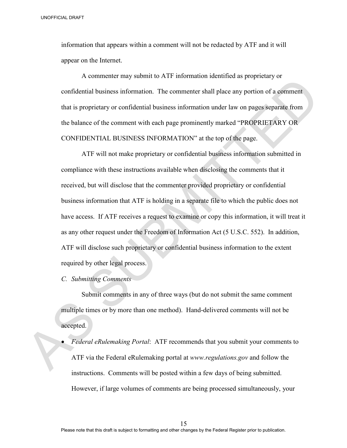information that appears within a comment will not be redacted by ATF and it will appear on the Internet.

A commenter may submit to ATF information identified as proprietary or confidential business information. The commenter shall place any portion of a comment that is proprietary or confidential business information under law on pages separate from the balance of the comment with each page prominently marked "PROPRIETARY OR CONFIDENTIAL BUSINESS INFORMATION" at the top of the page.

 ATF will not make proprietary or confidential business information submitted in compliance with these instructions available when disclosing the comments that it received, but will disclose that the commenter provided proprietary or confidential business information that ATF is holding in a separate file to which the public does not have access. If ATF receives a request to examine or copy this information, it will treat it as any other request under the Freedom of Information Act (5 U.S.C. 552). In addition, ATF will disclose such proprietary or confidential business information to the extent required by other legal process. UNCTIONAL BROWT<br>
information that appears within a comment will not be reducted by ATT and it will<br>
appear on the Internet.<br>
A commenter may submit to ATI information teletricited as proprietary or<br>
confidential business

*C. Submitting Comments* 

 Submit comments in any of three ways (but do not submit the same comment multiple times or by more than one method). Hand-delivered comments will not be accepted.

• *Federal eRulemaking Portal*: ATF recommends that you submit your comments to ATF via the Federal eRulemaking portal at *www.regulations.gov* and follow the instructions. Comments will be posted within a few days of being submitted. However, if large volumes of comments are being processed simultaneously, your